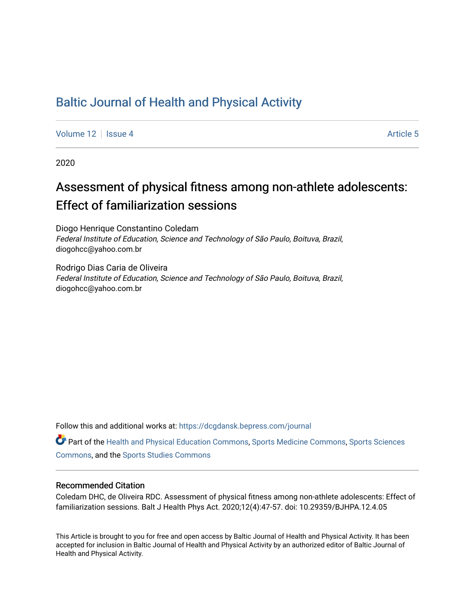## [Baltic Journal of Health and Physical Activity](https://dcgdansk.bepress.com/journal)

[Volume 12](https://dcgdansk.bepress.com/journal/vol12) Setup 4 [Article 5](https://dcgdansk.bepress.com/journal/vol12/iss4/5) Article 5 Article 5 Article 5 Article 5 Article 5 Article 5

2020

# Assessment of physical fitness among non-athlete adolescents: Effect of familiarization sessions

Diogo Henrique Constantino Coledam Federal Institute of Education, Science and Technology of São Paulo, Boituva, Brazil, diogohcc@yahoo.com.br

Rodrigo Dias Caria de Oliveira Federal Institute of Education, Science and Technology of São Paulo, Boituva, Brazil, diogohcc@yahoo.com.br

Follow this and additional works at: [https://dcgdansk.bepress.com/journal](https://dcgdansk.bepress.com/journal?utm_source=dcgdansk.bepress.com%2Fjournal%2Fvol12%2Fiss4%2F5&utm_medium=PDF&utm_campaign=PDFCoverPages)

Part of the [Health and Physical Education Commons](http://network.bepress.com/hgg/discipline/1327?utm_source=dcgdansk.bepress.com%2Fjournal%2Fvol12%2Fiss4%2F5&utm_medium=PDF&utm_campaign=PDFCoverPages), [Sports Medicine Commons,](http://network.bepress.com/hgg/discipline/1331?utm_source=dcgdansk.bepress.com%2Fjournal%2Fvol12%2Fiss4%2F5&utm_medium=PDF&utm_campaign=PDFCoverPages) [Sports Sciences](http://network.bepress.com/hgg/discipline/759?utm_source=dcgdansk.bepress.com%2Fjournal%2Fvol12%2Fiss4%2F5&utm_medium=PDF&utm_campaign=PDFCoverPages) [Commons](http://network.bepress.com/hgg/discipline/759?utm_source=dcgdansk.bepress.com%2Fjournal%2Fvol12%2Fiss4%2F5&utm_medium=PDF&utm_campaign=PDFCoverPages), and the [Sports Studies Commons](http://network.bepress.com/hgg/discipline/1198?utm_source=dcgdansk.bepress.com%2Fjournal%2Fvol12%2Fiss4%2F5&utm_medium=PDF&utm_campaign=PDFCoverPages) 

#### Recommended Citation

Coledam DHC, de Oliveira RDC. Assessment of physical fitness among non-athlete adolescents: Effect of familiarization sessions. Balt J Health Phys Act. 2020;12(4):47-57. doi: 10.29359/BJHPA.12.4.05

This Article is brought to you for free and open access by Baltic Journal of Health and Physical Activity. It has been accepted for inclusion in Baltic Journal of Health and Physical Activity by an authorized editor of Baltic Journal of Health and Physical Activity.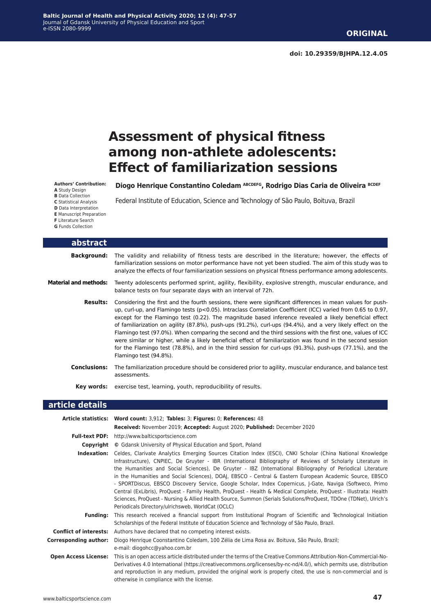# **Assessment of physical fitness among non-athlete adolescents: Effect of familiarization sessions**

**Authors' Contribution: A** Study Design

**B** Data Collection **C** Statistical Analysis **D** Data Interpretation **E** Manuscript Preparation **F** Literature Search **G** Funds Collection

Diogo Henrique Constantino Coledam ABCDEFG, Rodrigo Dias Caria de Oliveira BCDEF

Federal Institute of Education, Science and Technology of São Paulo, Boituva, Brazil

| abstract                     |                                                                                                                                                                                                                                                                                                                                                                                                                                                                                                                                                                                                                                                                                                                                                                                                                     |
|------------------------------|---------------------------------------------------------------------------------------------------------------------------------------------------------------------------------------------------------------------------------------------------------------------------------------------------------------------------------------------------------------------------------------------------------------------------------------------------------------------------------------------------------------------------------------------------------------------------------------------------------------------------------------------------------------------------------------------------------------------------------------------------------------------------------------------------------------------|
| <b>Background:</b>           | The validity and reliability of fitness tests are described in the literature; however, the effects of<br>familiarization sessions on motor performance have not yet been studied. The aim of this study was to<br>analyze the effects of four familiarization sessions on physical fitness performance among adolescents.                                                                                                                                                                                                                                                                                                                                                                                                                                                                                          |
| <b>Material and methods:</b> | Twenty adolescents performed sprint, agility, flexibility, explosive strength, muscular endurance, and<br>balance tests on four separate days with an interval of 72h.                                                                                                                                                                                                                                                                                                                                                                                                                                                                                                                                                                                                                                              |
| <b>Results:</b>              | Considering the first and the fourth sessions, there were significant differences in mean values for push-<br>up, curl-up, and Flamingo tests (p<0.05). Intraclass Correlation Coefficient (ICC) varied from 0.65 to 0.97,<br>except for the Flamingo test (0.22). The magnitude based inference revealed a likely beneficial effect<br>of familiarization on agility (87.8%), push-ups (91.2%), curl-ups (94.4%), and a very likely effect on the<br>Flamingo test (97.0%). When comparing the second and the third sessions with the first one, values of ICC<br>were similar or higher, while a likely beneficial effect of familiarization was found in the second session<br>for the Flamingo test (78.8%), and in the third session for curl-ups (91.3%), push-ups (77.1%), and the<br>Flamingo test (94.8%). |
| <b>Conclusions:</b>          | The familiarization procedure should be considered prior to agility, muscular endurance, and balance test<br>assessments.                                                                                                                                                                                                                                                                                                                                                                                                                                                                                                                                                                                                                                                                                           |
| Key words:                   | exercise test, learning, youth, reproducibility of results.                                                                                                                                                                                                                                                                                                                                                                                                                                                                                                                                                                                                                                                                                                                                                         |
| article details              |                                                                                                                                                                                                                                                                                                                                                                                                                                                                                                                                                                                                                                                                                                                                                                                                                     |
|                              | Article statistics: Word count: 3.912; Tables: 3: Figures: 0: References: 48                                                                                                                                                                                                                                                                                                                                                                                                                                                                                                                                                                                                                                                                                                                                        |

|                               | Article statistics: Word count: 3,912; Tables: 3; Figures: 0; References: 48                                                                                                                                                                                                                                                                                                                                                                                                                                                                                                                                                                                                                                                                                                                                                                                  |  |  |  |
|-------------------------------|---------------------------------------------------------------------------------------------------------------------------------------------------------------------------------------------------------------------------------------------------------------------------------------------------------------------------------------------------------------------------------------------------------------------------------------------------------------------------------------------------------------------------------------------------------------------------------------------------------------------------------------------------------------------------------------------------------------------------------------------------------------------------------------------------------------------------------------------------------------|--|--|--|
|                               | Received: November 2019; Accepted: August 2020; Published: December 2020                                                                                                                                                                                                                                                                                                                                                                                                                                                                                                                                                                                                                                                                                                                                                                                      |  |  |  |
| <b>Full-text PDF:</b>         | http://www.balticsportscience.com                                                                                                                                                                                                                                                                                                                                                                                                                                                                                                                                                                                                                                                                                                                                                                                                                             |  |  |  |
| Copyright                     | © Gdansk University of Physical Education and Sport, Poland                                                                                                                                                                                                                                                                                                                                                                                                                                                                                                                                                                                                                                                                                                                                                                                                   |  |  |  |
| Indexation:                   | Celdes, Clarivate Analytics Emerging Sources Citation Index (ESCI), CNKI Scholar (China National Knowledge<br>Infrastructure), CNPIEC, De Gruyter - IBR (International Bibliography of Reviews of Scholarly Literature in<br>the Humanities and Social Sciences), De Gruyter - IBZ (International Bibliography of Periodical Literature<br>in the Humanities and Social Sciences), DOAJ, EBSCO - Central & Eastern European Academic Source, EBSCO<br>- SPORTDiscus, EBSCO Discovery Service, Google Scholar, Index Copernicus, J-Gate, Naviga (Softweco, Primo<br>Central (ExLibris), ProQuest - Family Health, ProQuest - Health & Medical Complete, ProQuest - Illustrata: Health<br>Sciences, ProQuest - Nursing & Allied Health Source, Summon (Serials Solutions/ProQuest, TDOne (TDNet), Ulrich's<br>Periodicals Directory/ulrichsweb, WorldCat (OCLC) |  |  |  |
| <b>Funding:</b>               | This research received a financial support from Institutional Program of Scientific and Technological Initiation<br>Scholarships of the Federal Institute of Education Science and Technology of São Paulo, Brazil.                                                                                                                                                                                                                                                                                                                                                                                                                                                                                                                                                                                                                                           |  |  |  |
| <b>Conflict of interests:</b> | Authors have declared that no competing interest exists.                                                                                                                                                                                                                                                                                                                                                                                                                                                                                                                                                                                                                                                                                                                                                                                                      |  |  |  |
| <b>Corresponding author:</b>  | Diogo Henrique Coonstantino Coledam, 100 Zélia de Lima Rosa av. Boituva, São Paulo, Brazil;<br>e-mail: diogohcc@yahoo.com.br                                                                                                                                                                                                                                                                                                                                                                                                                                                                                                                                                                                                                                                                                                                                  |  |  |  |
| <b>Open Access License:</b>   | This is an open access article distributed under the terms of the Creative Commons Attribution-Non-Commercial-No-<br>Derivatives 4.0 International (https://creativecommons.org/licenses/by-nc-nd/4.0/), which permits use, distribution<br>and reproduction in any medium, provided the original work is properly cited, the use is non-commercial and is<br>otherwise in compliance with the license.                                                                                                                                                                                                                                                                                                                                                                                                                                                       |  |  |  |
|                               |                                                                                                                                                                                                                                                                                                                                                                                                                                                                                                                                                                                                                                                                                                                                                                                                                                                               |  |  |  |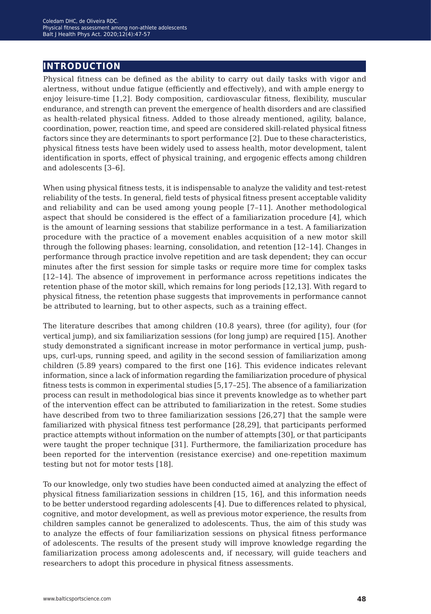## **introduction**

Physical fitness can be defined as the ability to carry out daily tasks with vigor and alertness, without undue fatigue (efficiently and effectively), and with ample energy to enjoy leisure-time [1,2]. Body composition, cardiovascular fitness, flexibility, muscular endurance, and strength can prevent the emergence of health disorders and are classified as health-related physical fitness. Added to those already mentioned, agility, balance, coordination, power, reaction time, and speed are considered skill-related physical fitness factors since they are determinants to sport performance [2]. Due to these characteristics, physical fitness tests have been widely used to assess health, motor development, talent identification in sports, effect of physical training, and ergogenic effects among children and adolescents [3–6].

When using physical fitness tests, it is indispensable to analyze the validity and test-retest reliability of the tests. In general, field tests of physical fitness present acceptable validity and reliability and can be used among young people [7–11]. Another methodological aspect that should be considered is the effect of a familiarization procedure [4], which is the amount of learning sessions that stabilize performance in a test. A familiarization procedure with the practice of a movement enables acquisition of a new motor skill through the following phases: learning, consolidation, and retention [12–14]. Changes in performance through practice involve repetition and are task dependent; they can occur minutes after the first session for simple tasks or require more time for complex tasks [12–14]. The absence of improvement in performance across repetitions indicates the retention phase of the motor skill, which remains for long periods [12,13]. With regard to physical fitness, the retention phase suggests that improvements in performance cannot be attributed to learning, but to other aspects, such as a training effect.

The literature describes that among children (10.8 years), three (for agility), four (for vertical jump), and six familiarization sessions (for long jump) are required [15]. Another study demonstrated a significant increase in motor performance in vertical jump, pushups, curl-ups, running speed, and agility in the second session of familiarization among children (5.89 years) compared to the first one [16]. This evidence indicates relevant information, since a lack of information regarding the familiarization procedure of physical fitness tests is common in experimental studies [5,17–25]. The absence of a familiarization process can result in methodological bias since it prevents knowledge as to whether part of the intervention effect can be attributed to familiarization in the retest. Some studies have described from two to three familiarization sessions [26,27] that the sample were familiarized with physical fitness test performance [28,29], that participants performed practice attempts without information on the number of attempts [30], or that participants were taught the proper technique [31]. Furthermore, the familiarization procedure has been reported for the intervention (resistance exercise) and one-repetition maximum testing but not for motor tests [18].

To our knowledge, only two studies have been conducted aimed at analyzing the effect of physical fitness familiarization sessions in children [15, 16], and this information needs to be better understood regarding adolescents [4]. Due to differences related to physical, cognitive, and motor development, as well as previous motor experience, the results from children samples cannot be generalized to adolescents. Thus, the aim of this study was to analyze the effects of four familiarization sessions on physical fitness performance of adolescents. The results of the present study will improve knowledge regarding the familiarization process among adolescents and, if necessary, will guide teachers and researchers to adopt this procedure in physical fitness assessments.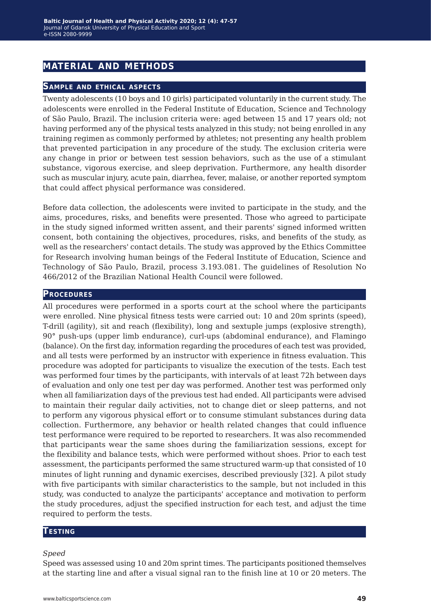## **material and methods**

#### **Sample and ethical aspects**

Twenty adolescents (10 boys and 10 girls) participated voluntarily in the current study. The adolescents were enrolled in the Federal Institute of Education, Science and Technology of São Paulo, Brazil. The inclusion criteria were: aged between 15 and 17 years old; not having performed any of the physical tests analyzed in this study; not being enrolled in any training regimen as commonly performed by athletes; not presenting any health problem that prevented participation in any procedure of the study. The exclusion criteria were any change in prior or between test session behaviors, such as the use of a stimulant substance, vigorous exercise, and sleep deprivation. Furthermore, any health disorder such as muscular injury, acute pain, diarrhea, fever, malaise, or another reported symptom that could affect physical performance was considered.

Before data collection, the adolescents were invited to participate in the study, and the aims, procedures, risks, and benefits were presented. Those who agreed to participate in the study signed informed written assent, and their parents' signed informed written consent, both containing the objectives, procedures, risks, and benefits of the study, as well as the researchers' contact details. The study was approved by the Ethics Committee for Research involving human beings of the Federal Institute of Education, Science and Technology of São Paulo, Brazil, process 3.193.081. The guidelines of Resolution No 466/2012 of the Brazilian National Health Council were followed.

#### **Procedures**

All procedures were performed in a sports court at the school where the participants were enrolled. Nine physical fitness tests were carried out: 10 and 20m sprints (speed), T-drill (agility), sit and reach (flexibility), long and sextuple jumps (explosive strength), 90° push-ups (upper limb endurance), curl-ups (abdominal endurance), and Flamingo (balance). On the first day, information regarding the procedures of each test was provided, and all tests were performed by an instructor with experience in fitness evaluation. This procedure was adopted for participants to visualize the execution of the tests. Each test was performed four times by the participants, with intervals of at least 72h between days of evaluation and only one test per day was performed. Another test was performed only when all familiarization days of the previous test had ended. All participants were advised to maintain their regular daily activities, not to change diet or sleep patterns, and not to perform any vigorous physical effort or to consume stimulant substances during data collection. Furthermore, any behavior or health related changes that could influence test performance were required to be reported to researchers. It was also recommended that participants wear the same shoes during the familiarization sessions, except for the flexibility and balance tests, which were performed without shoes. Prior to each test assessment, the participants performed the same structured warm-up that consisted of 10 minutes of light running and dynamic exercises, described previously [32]. A pilot study with five participants with similar characteristics to the sample, but not included in this study, was conducted to analyze the participants' acceptance and motivation to perform the study procedures, adjust the specified instruction for each test, and adjust the time required to perform the tests.

#### **Testing**

#### *Speed*

Speed was assessed using 10 and 20m sprint times. The participants positioned themselves at the starting line and after a visual signal ran to the finish line at 10 or 20 meters. The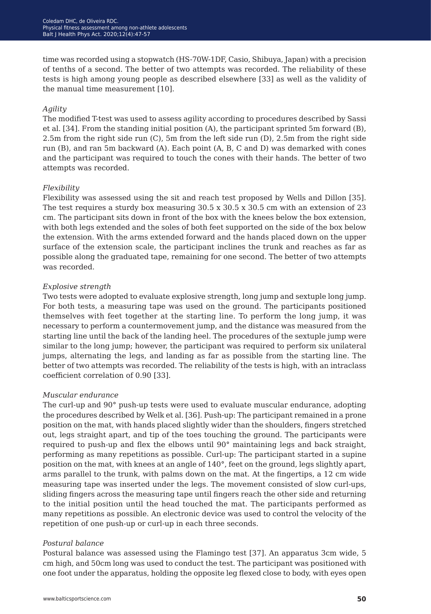time was recorded using a stopwatch (HS-70W-1DF, Casio, Shibuya, Japan) with a precision of tenths of a second. The better of two attempts was recorded. The reliability of these tests is high among young people as described elsewhere [33] as well as the validity of the manual time measurement [10].

#### *Agility*

The modified T-test was used to assess agility according to procedures described by Sassi et al. [34]. From the standing initial position (A), the participant sprinted 5m forward (B), 2.5m from the right side run (C), 5m from the left side run (D), 2.5m from the right side run (B), and ran 5m backward (A). Each point (A, B, C and D) was demarked with cones and the participant was required to touch the cones with their hands. The better of two attempts was recorded.

#### *Flexibility*

Flexibility was assessed using the sit and reach test proposed by Wells and Dillon [35]. The test requires a sturdy box measuring 30.5 x 30.5 x 30.5 cm with an extension of 23 cm. The participant sits down in front of the box with the knees below the box extension, with both legs extended and the soles of both feet supported on the side of the box below the extension. With the arms extended forward and the hands placed down on the upper surface of the extension scale, the participant inclines the trunk and reaches as far as possible along the graduated tape, remaining for one second. The better of two attempts was recorded.

#### *Explosive strength*

Two tests were adopted to evaluate explosive strength, long jump and sextuple long jump. For both tests, a measuring tape was used on the ground. The participants positioned themselves with feet together at the starting line. To perform the long jump, it was necessary to perform a countermovement jump, and the distance was measured from the starting line until the back of the landing heel. The procedures of the sextuple jump were similar to the long jump; however, the participant was required to perform six unilateral jumps, alternating the legs, and landing as far as possible from the starting line. The better of two attempts was recorded. The reliability of the tests is high, with an intraclass coefficient correlation of 0.90 [33].

#### *Muscular endurance*

The curl-up and 90° push-up tests were used to evaluate muscular endurance, adopting the procedures described by Welk et al. [36]. Push-up: The participant remained in a prone position on the mat, with hands placed slightly wider than the shoulders, fingers stretched out, legs straight apart, and tip of the toes touching the ground. The participants were required to push-up and flex the elbows until 90° maintaining legs and back straight, performing as many repetitions as possible. Curl-up: The participant started in a supine position on the mat, with knees at an angle of 140°, feet on the ground, legs slightly apart, arms parallel to the trunk, with palms down on the mat. At the fingertips, a 12 cm wide measuring tape was inserted under the legs. The movement consisted of slow curl-ups, sliding fingers across the measuring tape until fingers reach the other side and returning to the initial position until the head touched the mat. The participants performed as many repetitions as possible. An electronic device was used to control the velocity of the repetition of one push-up or curl-up in each three seconds.

### *Postural balance*

Postural balance was assessed using the Flamingo test [37]. An apparatus 3cm wide, 5 cm high, and 50cm long was used to conduct the test. The participant was positioned with one foot under the apparatus, holding the opposite leg flexed close to body, with eyes open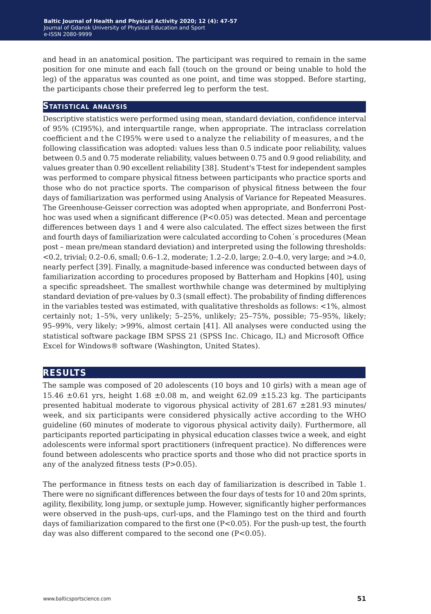and head in an anatomical position. The participant was required to remain in the same position for one minute and each fall (touch on the ground or being unable to hold the leg) of the apparatus was counted as one point, and time was stopped. Before starting, the participants chose their preferred leg to perform the test.

#### **Statistical analysis**

Descriptive statistics were performed using mean, standard deviation, confidence interval of 95% (CI95%), and interquartile range, when appropriate. The intraclass correlation coefficient and the CI95% were used to analyze the reliability of measures, and the following classification was adopted: values less than 0.5 indicate poor reliability, values between 0.5 and 0.75 moderate reliability, values between 0.75 and 0.9 good reliability, and values greater than 0.90 excellent reliability [38]. Student's T-test for independent samples was performed to compare physical fitness between participants who practice sports and those who do not practice sports. The comparison of physical fitness between the four days of familiarization was performed using Analysis of Variance for Repeated Measures. The Greenhouse-Geisser correction was adopted when appropriate, and Bonferroni Posthoc was used when a significant difference (P<0.05) was detected. Mean and percentage differences between days 1 and 4 were also calculated. The effect sizes between the first and fourth days of familiarization were calculated according to Cohen´s procedures (Mean post – mean pre/mean standard deviation) and interpreted using the following thresholds: <0.2, trivial; 0.2–0.6, small; 0.6–1.2, moderate; 1.2–2.0, large; 2.0–4.0, very large; and >4.0, nearly perfect [39]. Finally, a magnitude-based inference was conducted between days of familiarization according to procedures proposed by Batterham and Hopkins [40], using a specific spreadsheet. The smallest worthwhile change was determined by multiplying standard deviation of pre-values by 0.3 (small effect). The probability of finding differences in the variables tested was estimated, with qualitative thresholds as follows: <1%, almost certainly not; 1–5%, very unlikely; 5–25%, unlikely; 25–75%, possible; 75–95%, likely; 95–99%, very likely; >99%, almost certain [41]. All analyses were conducted using the statistical software package IBM SPSS 21 (SPSS Inc. Chicago, IL) and Microsoft Office Excel for Windows® software (Washington, United States).

## **results**

The sample was composed of 20 adolescents (10 boys and 10 girls) with a mean age of 15.46  $\pm 0.61$  yrs, height 1.68  $\pm 0.08$  m, and weight 62.09  $\pm 15.23$  kg. The participants presented habitual moderate to vigorous physical activity of  $281.67 \pm 281.93$  minutes/ week, and six participants were considered physically active according to the WHO guideline (60 minutes of moderate to vigorous physical activity daily). Furthermore, all participants reported participating in physical education classes twice a week, and eight adolescents were informal sport practitioners (infrequent practice). No differences were found between adolescents who practice sports and those who did not practice sports in any of the analyzed fitness tests  $(P>0.05)$ .

The performance in fitness tests on each day of familiarization is described in Table 1. There were no significant differences between the four days of tests for 10 and 20m sprints, agility, flexibility, long jump, or sextuple jump. However, significantly higher performances were observed in the push-ups, curl-ups, and the Flamingo test on the third and fourth days of familiarization compared to the first one (P<0.05). For the push-up test, the fourth day was also different compared to the second one (P<0.05).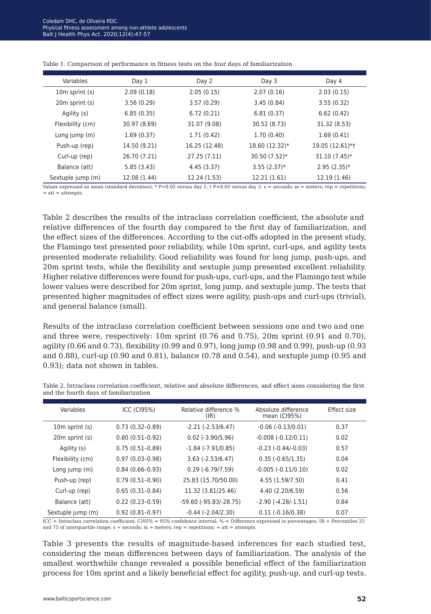| Variables         | Day 1        | Day 2         | Day 3          | Day 4           |
|-------------------|--------------|---------------|----------------|-----------------|
| 10m sprint (s)    | 2.09(0.18)   | 2.05(0.15)    | 2.07(0.16)     | 2.03(0.15)      |
| 20m sprint (s)    | 3.56(0.29)   | 3.57(0.29)    | 3.45(0.84)     | 3.55(0.32)      |
| Agility (s)       | 6.85(0.35)   | 6.72(0.21)    | 6.81(0.37)     | 6.62(0.42)      |
| Flexibility (cm)  | 30.97 (8.69) | 31.07 (9.08)  | 30.52 (8.73)   | 31.32 (8.53)    |
| Long jump $(m)$   | 1.69(0.37)   | 1.71(0.42)    | 1.70(0.40)     | 1.69(0.41)      |
| Push-up (rep)     | 14.50 (9.21) | 16.25 (12.48) | 18.60 (12.32)* | 19.05 (12.61)*+ |
| Curl-up (rep)     | 26.70 (7.21) | 27.25 (7.11)  | 30.50 (7.52)*  | $31.10(7.45)*$  |
| Balance (att)     | 5.85(3.43)   | 4.45 (3.37)   | $3.55(2.37)*$  | $2.95(2.35)*$   |
| Sextuple jump (m) | 12.08 (1.44) | 12.24 (1.53)  | 12.21 (1.61)   | 12.19 (1.46)    |

| Table 1. Comparison of performance in fitness tests on the four days of familiarization |
|-----------------------------------------------------------------------------------------|
|-----------------------------------------------------------------------------------------|

Values expressed as mean (standard deviation). \* P<0.05 versus day 1; † P<0.05 versus day 2. s = seconds; m = meters; rep = repetitions;  $=$  att  $=$  attempts.

Table 2 describes the results of the intraclass correlation coefficient, the absolute and relative differences of the fourth day compared to the first day of familiarization, and the effect sizes of the differences. According to the cut-offs adopted in the present study, the Flamingo test presented poor reliability, while 10m sprint, curl-ups, and agility tests presented moderate reliability. Good reliability was found for long jump, push-ups, and 20m sprint tests, while the flexibility and sextuple jump presented excellent reliability. Higher relative differences were found for push-ups, curl-ups, and the Flamingo test while lower values were described for 20m sprint, long jump, and sextuple jump. The tests that presented higher magnitudes of effect sizes were agility, push-ups and curl-ups (trivial), and general balance (small).

Results of the intraclass correlation coefficient between sessions one and two and one and three were, respectively: 10m sprint (0.76 and 0.75), 20m sprint (0.91 and 0.70), agility (0.66 and 0.73), flexibility (0.99 and 0.97), long jump (0.98 and 0.99), push-up (0.93 and 0.88), curl-up (0.90 and 0.81), balance (0.78 and 0.54), and sextuple jump (0.95 and 0.93); data not shown in tables.

| Variables         | ICC (CI95%)         | Relative difference %<br>(IR) | Absolute difference<br>mean (CI95%) | Effect size |
|-------------------|---------------------|-------------------------------|-------------------------------------|-------------|
| 10m sprint (s)    | $0.73(0.32-0.89)$   | $-2.21$ $(-2.53/6.47)$        | $-0.06(-0.13/0.01)$                 | 0.37        |
| 20m sprint (s)    | $0.80(0.51-0.92)$   | $0.02$ (-3.90/5.96)           | $-0.008(-0.12/0.11)$                | 0.02        |
| Agility (s)       | $0.75(0.51-0.89)$   | $-1.84$ ( $-7.91/0.85$ )      | $-0.23$ $(-0.44/-0.03)$             | 0.57        |
| Flexibility (cm)  | $0.97(0.03-0.98)$   | $3.63 (-2.53/6.47)$           | $0.35(-0.65/1.35)$                  | 0.04        |
| Long jump $(m)$   | $0.84(0.66-0.93)$   | $0.29(-6.79/7.59)$            | $-0.005(-0.11/0.10)$                | 0.02        |
| Push-up (rep)     | $0.79(0.51-0.90)$   | 25.83 (15.70/50.00)           | 4.55 (1.59/7.50)                    | 0.41        |
| Curl-up (rep)     | $0.65(0.31-0.84)$   | 11.32 (3.81/25.46)            | 4.40 (2.20/6.59)                    | 0.56        |
| Balance (att)     | $0.22(0.23-0.59)$   | -59.60 (-95.83/-28.75)        | $-2.90(-4.28/-1.51)$                | 0.84        |
| Sextuple jump (m) | $0.92(0.81 - 0.97)$ | $-0.44$ $(-2.04/2.30)$        | $0.11 (-0.16/0.38)$                 | 0.07        |

Table 2. Intraclass correlation coefficient, relative and absolute differences, and effect sizes considering the first and the fourth days of familiarization

 $ICC = Intraclass correlation coefficient; CI95% = 95% confidence interval; % = Difference expressed in percentages; IR = Percentiles 25$ and 75 of interquartile range;  $s =$  seconds;  $m =$  meters;  $rep =$  repetitions;  $=$  att  $=$  attempts.

Table 3 presents the results of magnitude-based inferences for each studied test, considering the mean differences between days of familiarization. The analysis of the smallest worthwhile change revealed a possible beneficial effect of the familiarization process for 10m sprint and a likely beneficial effect for agility, push-up, and curl-up tests.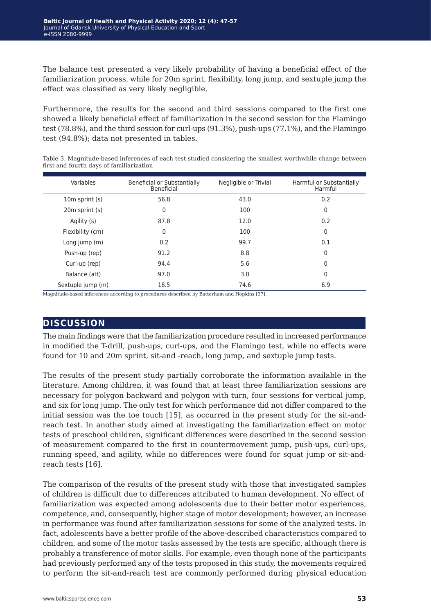The balance test presented a very likely probability of having a beneficial effect of the familiarization process, while for 20m sprint, flexibility, long jump, and sextuple jump the effect was classified as very likely negligible.

Furthermore, the results for the second and third sessions compared to the first one showed a likely beneficial effect of familiarization in the second session for the Flamingo test (78.8%), and the third session for curl-ups (91.3%), push-ups (77.1%), and the Flamingo test (94.8%); data not presented in tables.

| Table 3. Magnitude-based inferences of each test studied considering the smallest worthwhile change between |  |  |  |
|-------------------------------------------------------------------------------------------------------------|--|--|--|
| first and fourth days of familiarization                                                                    |  |  |  |

| Variables         | Beneficial or Substantially<br>Beneficial | Negligible or Trivial | Harmful or Substantially<br>Harmful |
|-------------------|-------------------------------------------|-----------------------|-------------------------------------|
| 10m sprint (s)    | 56.8                                      | 43.0                  | 0.2                                 |
| 20m sprint (s)    | 0                                         | 100                   | 0                                   |
| Agility (s)       | 87.8                                      | 12.0                  | 0.2                                 |
| Flexibility (cm)  | 0                                         | 100                   | 0                                   |
| Long jump $(m)$   | 0.2                                       | 99.7                  | 0.1                                 |
| Push-up (rep)     | 91.2                                      | 8.8                   | $\Omega$                            |
| Curl-up (rep)     | 94.4                                      | 5.6                   | 0                                   |
| Balance (att)     | 97.0                                      | 3.0                   | 0                                   |
| Sextuple jump (m) | 18.5                                      | 74.6                  | 6.9                                 |

Magnitude-based inferences according to procedures described by Batterham and Hopkins [37].

## **discussion**

The main findings were that the familiarization procedure resulted in increased performance in modified the T-drill, push-ups, curl-ups, and the Flamingo test, while no effects were found for 10 and 20m sprint, sit-and -reach, long jump, and sextuple jump tests.

The results of the present study partially corroborate the information available in the literature. Among children, it was found that at least three familiarization sessions are necessary for polygon backward and polygon with turn, four sessions for vertical jump, and six for long jump. The only test for which performance did not differ compared to the initial session was the toe touch [15], as occurred in the present study for the sit-andreach test. In another study aimed at investigating the familiarization effect on motor tests of preschool children, significant differences were described in the second session of measurement compared to the first in countermovement jump, push-ups, curl-ups, running speed, and agility, while no differences were found for squat jump or sit-andreach tests [16].

The comparison of the results of the present study with those that investigated samples of children is difficult due to differences attributed to human development. No effect of familiarization was expected among adolescents due to their better motor experiences, competence, and, consequently, higher stage of motor development; however, an increase in performance was found after familiarization sessions for some of the analyzed tests. In fact, adolescents have a better profile of the above-described characteristics compared to children, and some of the motor tasks assessed by the tests are specific, although there is probably a transference of motor skills. For example, even though none of the participants had previously performed any of the tests proposed in this study, the movements required to perform the sit-and-reach test are commonly performed during physical education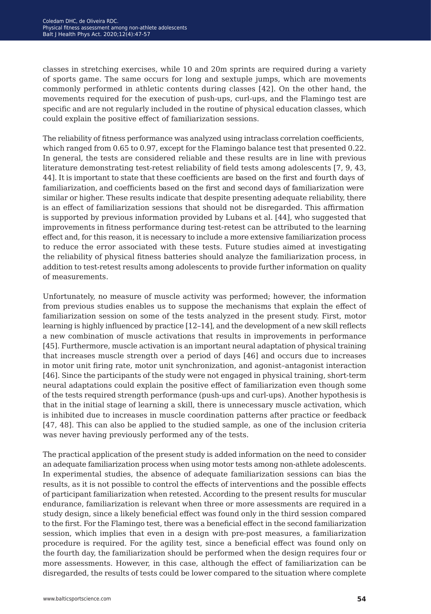classes in stretching exercises, while 10 and 20m sprints are required during a variety of sports game. The same occurs for long and sextuple jumps, which are movements commonly performed in athletic contents during classes [42]. On the other hand, the movements required for the execution of push-ups, curl-ups, and the Flamingo test are specific and are not regularly included in the routine of physical education classes, which could explain the positive effect of familiarization sessions.

The reliability of fitness performance was analyzed using intraclass correlation coefficients, which ranged from 0.65 to 0.97, except for the Flamingo balance test that presented 0.22. In general, the tests are considered reliable and these results are in line with previous literature demonstrating test-retest reliability of field tests among adolescents [7, 9, 43, 44]. It is important to state that these coefficients are based on the first and fourth days of familiarization, and coefficients based on the first and second days of familiarization were similar or higher. These results indicate that despite presenting adequate reliability, there is an effect of familiarization sessions that should not be disregarded. This affirmation is supported by previous information provided by Lubans et al. [44], who suggested that improvements in fitness performance during test-retest can be attributed to the learning effect and, for this reason, it is necessary to include a more extensive familiarization process to reduce the error associated with these tests. Future studies aimed at investigating the reliability of physical fitness batteries should analyze the familiarization process, in addition to test-retest results among adolescents to provide further information on quality of measurements.

Unfortunately, no measure of muscle activity was performed; however, the information from previous studies enables us to suppose the mechanisms that explain the effect of familiarization session on some of the tests analyzed in the present study. First, motor learning is highly influenced by practice [12–14], and the development of a new skill reflects a new combination of muscle activations that results in improvements in performance [45]. Furthermore, muscle activation is an important neural adaptation of physical training that increases muscle strength over a period of days [46] and occurs due to increases in motor unit firing rate, motor unit synchronization, and agonist–antagonist interaction [46]. Since the participants of the study were not engaged in physical training, short-term neural adaptations could explain the positive effect of familiarization even though some of the tests required strength performance (push-ups and curl-ups). Another hypothesis is that in the initial stage of learning a skill, there is unnecessary muscle activation, which is inhibited due to increases in muscle coordination patterns after practice or feedback [47, 48]. This can also be applied to the studied sample, as one of the inclusion criteria was never having previously performed any of the tests.

The practical application of the present study is added information on the need to consider an adequate familiarization process when using motor tests among non-athlete adolescents. In experimental studies, the absence of adequate familiarization sessions can bias the results, as it is not possible to control the effects of interventions and the possible effects of participant familiarization when retested. According to the present results for muscular endurance, familiarization is relevant when three or more assessments are required in a study design, since a likely beneficial effect was found only in the third session compared to the first. For the Flamingo test, there was a beneficial effect in the second familiarization session, which implies that even in a design with pre-post measures, a familiarization procedure is required. For the agility test, since a beneficial effect was found only on the fourth day, the familiarization should be performed when the design requires four or more assessments. However, in this case, although the effect of familiarization can be disregarded, the results of tests could be lower compared to the situation where complete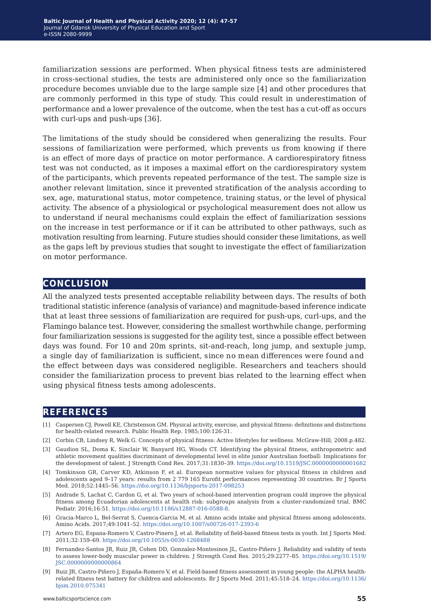familiarization sessions are performed. When physical fitness tests are administered in cross-sectional studies, the tests are administered only once so the familiarization procedure becomes unviable due to the large sample size [4] and other procedures that are commonly performed in this type of study. This could result in underestimation of performance and a lower prevalence of the outcome, when the test has a cut-off as occurs with curl-ups and push-ups [36].

The limitations of the study should be considered when generalizing the results. Four sessions of familiarization were performed, which prevents us from knowing if there is an effect of more days of practice on motor performance. A cardiorespiratory fitness test was not conducted, as it imposes a maximal effort on the cardiorespiratory system of the participants, which prevents repeated performance of the test. The sample size is another relevant limitation, since it prevented stratification of the analysis according to sex, age, maturational status, motor competence, training status, or the level of physical activity. The absence of a physiological or psychological measurement does not allow us to understand if neural mechanisms could explain the effect of familiarization sessions on the increase in test performance or if it can be attributed to other pathways, such as motivation resulting from learning. Future studies should consider these limitations, as well as the gaps left by previous studies that sought to investigate the effect of familiarization on motor performance.

## **conclusion**

All the analyzed tests presented acceptable reliability between days. The results of both traditional statistic inference (analysis of variance) and magnitude-based inference indicate that at least three sessions of familiarization are required for push-ups, curl-ups, and the Flamingo balance test. However, considering the smallest worthwhile change, performing four familiarization sessions is suggested for the agility test, since a possible effect between days was found. For 10 and 20m sprints, sit-and-reach, long jump, and sextuple jump, a single day of familiarization is sufficient, since no mean differences were found and the effect between days was considered negligible. Researchers and teachers should consider the familiarization process to prevent bias related to the learning effect when using physical fitness tests among adolescents.

## **references**

- [1] Caspersen CJ, Powell KE, Christenson GM. Physical activity, exercise, and physical fitness: definitions and distinctions for health-related research. Public Health Rep. 1985;100:126-31.
- [2] Corbin CB, Lindsey R, Welk G. Concepts of physical fitness: Active lifestyles for wellness. McGraw-Hill; 2008.p.482.
- [3] Gaudion SL, Doma K, Sinclair W, Banyard HG, Woods CT. Identifying the physical fitness, anthropometric and athletic movement qualities discriminant of developmental level in elite junior Australian football: Implications for the development of talent. J Strength Cond Res. 2017;31:1830–39. <https://doi.org/10.1519/JSC.0000000000001682>
- [4] Tomkinson GR, Carver KD, Atkinson F, et al. European normative values for physical fitness in children and adolescents aged 9–17 years: results from 2 779 165 Eurofit performances representing 30 countries. Br J Sports Med. 2018;52:1445–56. <https://doi.org/10.1136/bjsports-2017-098253>
- [5] Andrade S, Lachat C, Cardon G, et al. Two years of school-based intervention program could improve the physical fitness among Ecuadorian adolescents at health risk: subgroups analysis from a cluster-randomized trial. BMC Pediatr. 2016;16:51.<https://doi.org/10.1186/s12887-016-0588-8>.
- [6] Gracia-Marco L, Bel-Serrat S, Cuenca-Garcia M, et al. Amino acids intake and physical fitness among adolescents. Amino Acids. 2017;49:1041–52.<https://doi.org/10.1007/s00726-017-2393-6>
- [7] Artero EG, Espana-Romero V, Castro-Pinero J, et al. Reliability of field-based fitness tests in youth. Int J Sports Med. 2011;32:159–69. <https://doi.org/10.1055/s-0030-1268488>
- [8] Fernandez-Santos JR, Ruiz JR, Cohen DD, Gonzalez-Montesinos JL, Castro-Piñero J. Reliability and validity of tests to assess lower-body muscular power in children. J Strength Cond Res. 2015;29:2277–85. [https://doi.org/10.1519/](https://doi.org/10.1519/JSC.0000000000000864) [JSC.0000000000000864](https://doi.org/10.1519/JSC.0000000000000864)
- [9] Ruiz JR, Castro-Piñero J, España-Romero V, et al. Field-based fitness assessment in young people: the ALPHA healthrelated fitness test battery for children and adolescents. Br J Sports Med. 2011;45:518–24. [https://doi.org/10.1136/](https://doi.org/10.1136/bjsm.2010.075341) [bjsm.2010.075341](https://doi.org/10.1136/bjsm.2010.075341)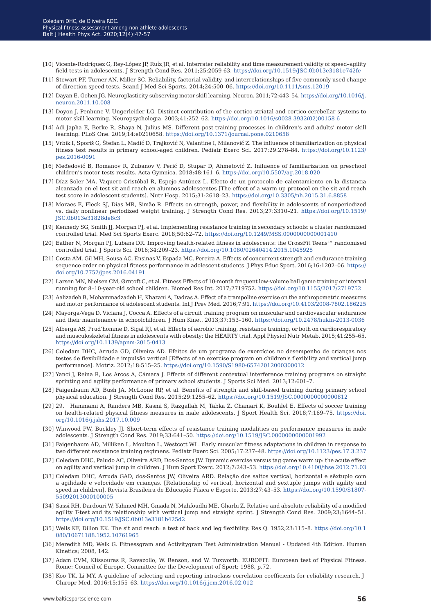- [10] Vicente-Rodríguez G, Rey-López JP, Ruíz JR, et al. Interrater reliability and time measurement validity of speed–agility field tests in adolescents. J Strength Cond Res. 2011;25:2059-63.<https://doi.org/10.1519/JSC.0b013e3181e742fe>
- [11] Stewart PF, Turner AN, Miller SC. Reliability, factorial validity, and interrelationships of five commonly used change of direction speed tests. Scand J Med Sci Sports. 2014;24:500–06. <https://doi.org/10.1111/sms.12019>
- [12] Dayan E, Gohen JG. Neuroplasticity subserving motor skill learning. Neuron. 2011;72:443–54. [https://doi.org/10.1016/j.](https://doi.org/10.1016/j.neuron.2011.10.008) [neuron.2011.10.008](https://doi.org/10.1016/j.neuron.2011.10.008)
- [13] Doyon J, Penhune V, Ungerleider LG. Distinct contribution of the cortico-striatal and cortico-cerebellar systems to motor skill learning. Neuropsychologia. 2003;41:252–62. [https://doi.org/10.1016/s0028-3932\(02\)00158-6](https://doi.org/10.1016/s0028-3932(02)00158-6)
- [14] Adi-Japha E, Berke R, Shaya N, Julius MS. Different post-training processes in children's and adults' motor skill learning. PLoS One. 2019;14:e0210658.<https://doi.org/10.1371/journal.pone.0210658>
- [15] Vrbik I, Sporiš G, Štefan L, Madić D, Trajković N, Valantine I, Milanović Z. The influence of familiarization on physical fitness test results in primary school-aged children. Pediatr Exerc Sci. 2017;29:278–84. [https://doi.org/10.1123/](https://doi.org/10.1123/pes.2016-0091) [pes.2016-0091](https://doi.org/10.1123/pes.2016-0091)
- [16] Međedović B, Romanov R, Zubanov V, Perić D, Stupar D, Ahmetović Z. Influence of familiarization on preschool children's motor tests results. Acta Gymnica. 2018;48:161–6. <https://doi.org/10.5507/ag.2018.020>
- [17] Díaz-Soler MA, Vaquero-Cristóbal R, Espejo-Antúnez L. Efecto de un protocolo de calentamiento en la distancia alcanzada en el test sit-and-reach en alumnos adolescentes [The effect of a warm-up protocol on the sit-and-reach test score in adolescent students]. Nutr Hosp. 2015;31:2618–23.<https://doi.org/10.3305/nh.2015.31.6.8858>
- [18] Moraes E, Fleck SJ, Dias MR, Simão R. Effects on strength, power, and flexibility in adolescents of nonperiodized vs. daily nonlinear periodized weight training. J Strength Cond Res. 2013;27:3310–21. [https://doi.org/10.1519/](https://doi.org/10.1519/JSC.0b013e31828de8c3) [JSC.0b013e31828de8c3](https://doi.org/10.1519/JSC.0b013e31828de8c3)
- [19] Kennedy SG, Smith JJ, Morgan PJ, et al. Implementing resistance training in secondary schools: a cluster randomized controlled trial. Med Sci Sports Exerc. 2018;50:62–72. <https://doi.org/10.1249/MSS.0000000000001410>
- [20] Eather N, Morgan PJ, Lubans DR. Improving health-related fitness in adolescents: the CrossFit Teens™ randomised controlled trial. J Sports Sci. 2016;34:209–23.<https://doi.org/10.1080/02640414.2015.1045925>
- [21] Costa AM, Gil MH, Sousa AC, Ensinas V, Espada MC, Pereira A. Effects of concurrent strength and endurance training sequence order on physical fitness performance in adolescent students. J Phys Educ Sport. 2016;16:1202–06. [https://](https://doi.org/10.7752/jpes.2016.04191) [doi.org/10.7752/jpes.2016.04191](https://doi.org/10.7752/jpes.2016.04191)
- [22] Larsen MN, Nielsen CM, Ørntoft C, et al. Fitness Effects of 10-month frequent low-volume ball game training or interval running for 8–10-year-old school children. Biomed Res Int. 2017;2719752. <https://doi.org/10.1155/2017/2719752>
- [23] Aalizadeh B, Mohammadzadeh H, Khazani A, Dadras A. Effect of a trampoline exercise on the anthropometric measures and motor performance of adolescent students. Int J Prev Med. 2016;7:91.<https://doi.org/10.4103/2008-7802.186225>
- [24] Mayorga-Vega D, Viciana J, Cocca A. Effects of a circuit training program on muscular and cardiovascular endurance and their maintenance in schoolchildren. J Hum Kinet. 2013;37:153–160.<https://doi.org/10.2478/hukin-2013-0036>
- [25] Alberga AS, Prud'homme D, Sigal RJ, et al. Effects of aerobic training, resistance training, or both on cardiorespiratory and musculoskeletal fitness in adolescents with obesity: the HEARTY trial. Appl Physiol Nutr Metab. 2015;41:255–65. <https://doi.org/10.1139/apnm-2015-0413>
- [26] Coledam DHC, Arruda GD, Oliveira AD. Efeitos de um programa de exercícios no desempenho de crianças nos testes de flexibilidade e impulsão vertical [Effects of an exercise program on children's flexibility and vertical jump performance]. Motriz. 2012;18:515–25. <https://doi.org/10.1590/S1980-65742012000300012>
- [27] Yanci J, Reina R, Los Arcos A, Cámara J. Effects of different contextual interference training programs on straight sprinting and agility performance of primary school students. J Sports Sci Med. 2013;12:601–7.
- [28] Faigenbaum AD, Bush JA, McLoone RP, et al. Benefits of strength and skill-based training during primary school physical education. J Strength Cond Res. 2015;29:1255–62.<https://doi.org/10.1519/JSC.0000000000000812>
- [29] 29. Hammami A, Randers MB, Kasmi S, Razgallah M, Tabka Z, Chamari K, Bouhlel E. Effects of soccer training on health-related physical fitness measures in male adolescents. J Sport Health Sci. 2018;7:169–75. [https://doi.](https://doi.org/10.1016/j.jshs.2017.10.009) [org/10.1016/j.jshs.2017.10.009](https://doi.org/10.1016/j.jshs.2017.10.009)
- [30] Winwood PW, Buckley JJ. Short-term effects of resistance training modalities on performance measures in male adolescents. J Strength Cond Res. 2019;33:641–50.<https://doi.org/10.1519/JSC.0000000000001992>
- [31] Faigenbaum AD, Milliken L, Moulton L, Westcott WL. Early muscular fitness adaptations in children in response to two different resistance training regimens. Pediatr Exerc Sci. 2005;17:237–48.<https://doi.org/10.1123/pes.17.3.237>
- [32] Coledam DHC, Paludo AC, Oliveira ARD, Dos-Santos JW. Dynamic exercise versus tag game warm up: the acute effect on agility and vertical jump in children. J Hum Sport Exerc. 2012;7:243–53.<https://doi.org/10.4100/jhse.2012.71.03>
- [33] Coledam DHC, Arruda GAD, dos-Santos JW, Oliveira ARD. Relação dos saltos vertical, horizontal e sêxtuplo com a agilidade e velocidade em crianças. [Relationship of vertical, horizontal and sextuple jumps with agility and speed in children]. Revista Brasileira de Educação Física e Esporte. 2013;27:43–53. [https://doi.org/10.1590/S1807-](https://doi.org/10.1590/S1807-55092013000100005) [55092013000100005](https://doi.org/10.1590/S1807-55092013000100005)
- [34] Sassi RH, Dardouri W, Yahmed MH, Gmada N, Mahfoudhi ME, Gharbi Z. Relative and absolute reliability of a modified agility T-test and its relationship with vertical jump and straight sprint. J Strength Cond Res. 2009;23;1644–51. <https://doi.org/10.1519/JSC.0b013e3181b425d2>
- [35] Wells KF, Dillon EK. The sit and reach: a test of back and leg flexibility. Res Q. 1952;23:115–8. [https://doi.org/10.1](https://doi.org/10.1080/10671188.1952.10761965) [080/10671188.1952.10761965](https://doi.org/10.1080/10671188.1952.10761965)
- [36] Meredith MD, Welk G. Fitnessgram and Activitygram Test Administration Manual Updated 4th Edition. Human Kinetics; 2008, 142.
- [37] Adam CVM, Klissouras R, Ravazollo, W. Renson, and W. Tuxworth. EUROFIT: European test of Physical Fitness. Rome: Council of Europe, Committee for the Development of Sport; 1988, p.72.
- [38] Koo TK, Li MY. A guideline of selecting and reporting intraclass correlation coefficients for reliability research. J Chiropr Med. 2016;15:155–63. <https://doi.org/10.1016/j.jcm.2016.02.012>